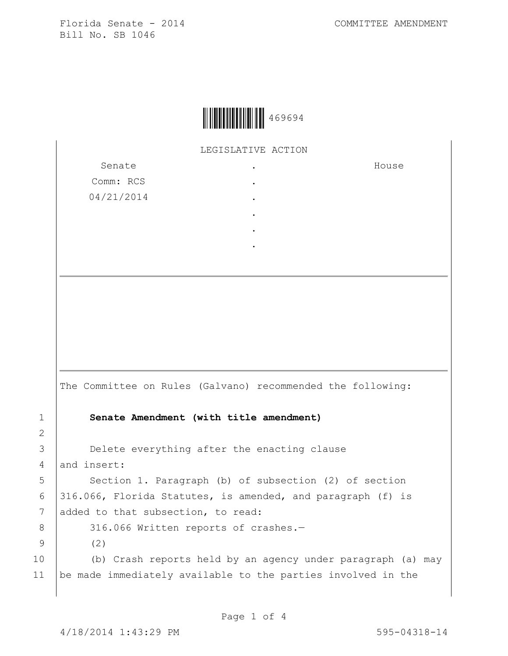

LEGISLATIVE ACTION .

> . . . . .

Senate Comm: RCS 04/21/2014 House

The Committee on Rules (Galvano) recommended the following: 1 **Senate Amendment (with title amendment)** 3 **Delete everything after the enacting clause** 4 and insert: 5 Section 1. Paragraph (b) of subsection (2) of section 6 316.066, Florida Statutes, is amended, and paragraph (f) is 7 added to that subsection, to read: 8 316.066 Written reports of crashes.-9 (2) 10 (b) Crash reports held by an agency under paragraph (a) may 11 be made immediately available to the parties involved in the

2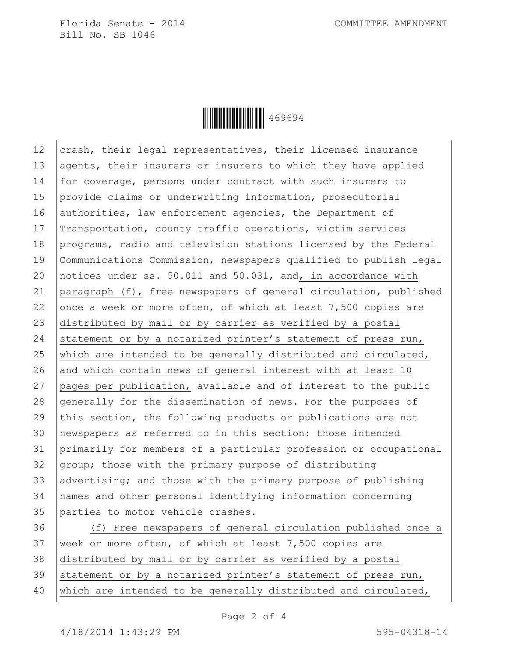

12 crash, their legal representatives, their licensed insurance 13 agents, their insurers or insurers to which they have applied 14 for coverage, persons under contract with such insurers to 15 provide claims or underwriting information, prosecutorial 16 authorities, law enforcement agencies, the Department of 17 Transportation, county traffic operations, victim services 18 programs, radio and television stations licensed by the Federal 19 Communications Commission, newspapers qualified to publish legal 20 notices under ss. 50.011 and 50.031, and, in accordance with 21 paragraph (f), free newspapers of general circulation, published 22 once a week or more often, of which at least  $7,500$  copies are 23 distributed by mail or by carrier as verified by a postal 24 statement or by a notarized printer's statement of press run, 25 which are intended to be generally distributed and circulated, 26 and which contain news of general interest with at least 10 27 pages per publication, available and of interest to the public 28 generally for the dissemination of news. For the purposes of 29 this section, the following products or publications are not 30 newspapers as referred to in this section: those intended 31 primarily for members of a particular profession or occupational 32 group; those with the primary purpose of distributing 33 advertising; and those with the primary purpose of publishing 34 names and other personal identifying information concerning 35 parties to motor vehicle crashes.

36 (f) Free newspapers of general circulation published once a 37 | week or more often, of which at least 7,500 copies are 38 distributed by mail or by carrier as verified by a postal 39 statement or by a notarized printer's statement of press run, 40 which are intended to be generally distributed and circulated,

Page 2 of 4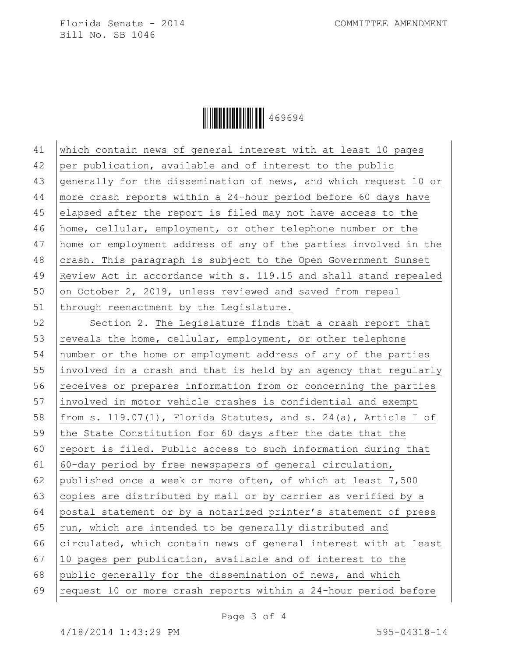

| 41 | which contain news of general interest with at least 10 pages         |
|----|-----------------------------------------------------------------------|
| 42 | per publication, available and of interest to the public              |
| 43 | generally for the dissemination of news, and which request 10 or      |
| 44 | more crash reports within a 24-hour period before 60 days have        |
| 45 | elapsed after the report is filed may not have access to the          |
| 46 | home, cellular, employment, or other telephone number or the          |
| 47 | home or employment address of any of the parties involved in the      |
| 48 | crash. This paragraph is subject to the Open Government Sunset        |
| 49 | Review Act in accordance with s. 119.15 and shall stand repealed      |
| 50 | on October 2, 2019, unless reviewed and saved from repeal             |
| 51 | through reenactment by the Legislature.                               |
| 52 | Section 2. The Legislature finds that a crash report that             |
| 53 | reveals the home, cellular, employment, or other telephone            |
| 54 | number or the home or employment address of any of the parties        |
| 55 | involved in a crash and that is held by an agency that regularly      |
| 56 | receives or prepares information from or concerning the parties       |
| 57 | involved in motor vehicle crashes is confidential and exempt          |
| 58 | from s. $119.07(1)$ , Florida Statutes, and s. $24(a)$ , Article I of |
| 59 | the State Constitution for 60 days after the date that the            |
| 60 | report is filed. Public access to such information during that        |
| 61 | 60-day period by free newspapers of general circulation,              |
| 62 | published once a week or more often, of which at least 7,500          |
| 63 | copies are distributed by mail or by carrier as verified by a         |
| 64 | postal statement or by a notarized printer's statement of press       |
| 65 | run, which are intended to be generally distributed and               |
| 66 | circulated, which contain news of general interest with at least      |
| 67 | 10 pages per publication, available and of interest to the            |
| 68 | public generally for the dissemination of news, and which             |
| 69 | request 10 or more crash reports within a 24-hour period before       |
|    |                                                                       |